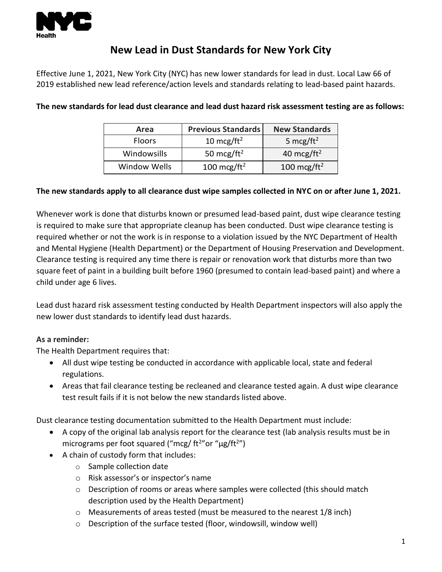

## **New Lead in Dust Standards for New York City**

Effective June 1, 2021, New York City (NYC) has new lower standards for lead in dust. Local Law 66 of 2019 established new lead reference/action levels and standards relating to lead-based paint hazards.

| Area                | <b>Previous Standards</b> | <b>New Standards</b>    |
|---------------------|---------------------------|-------------------------|
| <b>Floors</b>       | 10 mcg/ft <sup>2</sup>    | 5 mcg/ft <sup>2</sup>   |
| Windowsills         | 50 mcg/ft <sup>2</sup>    | 40 mcg/ft <sup>2</sup>  |
| <b>Window Wells</b> | 100 mcg/ft <sup>2</sup>   | 100 mcg/ft <sup>2</sup> |

## **The new standards for lead dust clearance and lead dust hazard risk assessment testing are as follows:**

## **The new standards apply to all clearance dust wipe samples collected in NYC on or after June 1, 2021.**

Whenever work is done that disturbs known or presumed lead-based paint, dust wipe clearance testing is required to make sure that appropriate cleanup has been conducted. Dust wipe clearance testing is required whether or not the work is in response to a violation issued by the NYC Department of Health and Mental Hygiene (Health Department) or the Department of Housing Preservation and Development. Clearance testing is required any time there is repair or renovation work that disturbs more than two square feet of paint in a building built before 1960 (presumed to contain lead-based paint) and where a child under age 6 lives.

Lead dust hazard risk assessment testing conducted by Health Department inspectors will also apply the new lower dust standards to identify lead dust hazards.

## **As a reminder:**

The Health Department requires that:

- All dust wipe testing be conducted in accordance with applicable local, state and federal regulations.
- Areas that fail clearance testing be recleaned and clearance tested again. A dust wipe clearance test result fails if it is not below the new standards listed above.

Dust clearance testing documentation submitted to the Health Department must include:

- A copy of the original lab analysis report for the clearance test (lab analysis results must be in micrograms per foot squared ("mcg/ ft<sup>2</sup>"or "µg/ft<sup>2</sup>")
- A chain of custody form that includes:
	- o Sample collection date
	- o Risk assessor's or inspector's name
	- $\circ$  Description of rooms or areas where samples were collected (this should match description used by the Health Department)
	- o Measurements of areas tested (must be measured to the nearest 1/8 inch)
	- o Description of the surface tested (floor, windowsill, window well)